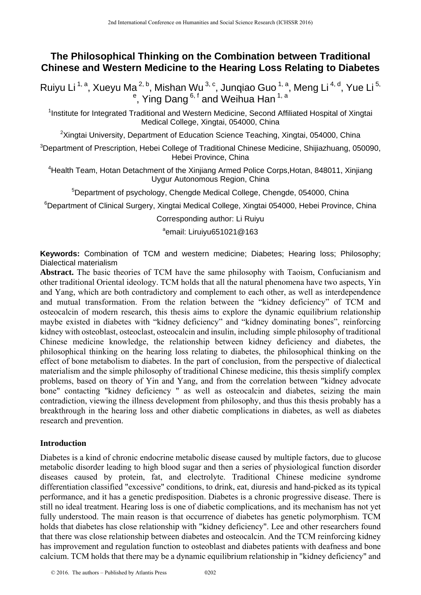# **The Philosophical Thinking on the Combination between Traditional Chinese and Western Medicine to the Hearing Loss Relating to Diabetes**

Ruiyu Li <sup>1, a</sup>, Xueyu Ma<sup>2, b</sup>, Mishan Wu<sup>3, c</sup>, Junqiao Guo <sup>1, a</sup>, Meng Li <sup>4, d</sup>, Yue Li <sup>5,</sup> <sup>e</sup>, Ying Dang <sup>6, f</sup> and Weihua Han <sup>1, a</sup>

<sup>1</sup>Institute for Integrated Traditional and Western Medicine, Second Affiliated Hospital of Xingtai Medical College, Xingtai, 054000, China

<sup>2</sup>Xingtai University, Department of Education Science Teaching, Xingtai, 054000, China

<sup>3</sup>Department of Prescription, Hebei College of Traditional Chinese Medicine, Shijiazhuang, 050090, Hebei Province, China

<sup>4</sup>Health Team, Hotan Detachment of the Xinjiang Armed Police Corps, Hotan, 848011, Xinjiang Uygur Autonomous Region, China

5 Department of psychology, Chengde Medical College, Chengde, 054000, China

<sup>6</sup>Department of Clinical Surgery, Xingtai Medical College, Xingtai 054000, Hebei Province, China

Corresponding author: Li Ruiyu

<sup>a</sup>email: Liruiyu651021@163

**Keywords:** Combination of TCM and western medicine; Diabetes; Hearing loss; Philosophy; Dialectical materialism

**Abstract.** The basic theories of TCM have the same philosophy with Taoism, Confucianism and other traditional Oriental ideology. TCM holds that all the natural phenomena have two aspects, Yin and Yang, which are both contradictory and complement to each other, as well as interdependence and mutual transformation. From the relation between the "kidney deficiency" of TCM and osteocalcin of modern research, this thesis aims to explore the dynamic equilibrium relationship maybe existed in diabetes with "kidney deficiency" and "kidney dominating bones", reinforcing kidney with osteoblast, osteoclast, osteocalcin and insulin, including simple philosophy of traditional Chinese medicine knowledge, the relationship between kidney deficiency and diabetes, the philosophical thinking on the hearing loss relating to diabetes, the philosophical thinking on the effect of bone metabolism to diabetes. In the part of conclusion, from the perspective of dialectical materialism and the simple philosophy of traditional Chinese medicine, this thesis simplify complex problems, based on theory of Yin and Yang, and from the correlation between "kidney advocate bone" contacting "kidney deficiency " as well as osteocalcin and diabetes, seizing the main contradiction, viewing the illness development from philosophy, and thus this thesis probably has a breakthrough in the hearing loss and other diabetic complications in diabetes, as well as diabetes research and prevention.

## **Introduction**

Diabetes is a kind of chronic endocrine metabolic disease caused by multiple factors, due to glucose metabolic disorder leading to high blood sugar and then a series of physiological function disorder diseases caused by protein, fat, and electrolyte. Traditional Chinese medicine syndrome differentiation classified "excessive" conditions, to drink, eat, diuresis and hand-picked as its typical performance, and it has a genetic predisposition. Diabetes is a chronic progressive disease. There is still no ideal treatment. Hearing loss is one of diabetic complications, and its mechanism has not yet fully understood. The main reason is that occurrence of diabetes has genetic polymorphism. TCM holds that diabetes has close relationship with "kidney deficiency". Lee and other researchers found that there was close relationship between diabetes and osteocalcin. And the TCM reinforcing kidney has improvement and regulation function to osteoblast and diabetes patients with deafness and bone calcium. TCM holds that there may be a dynamic equilibrium relationship in "kidney deficiency" and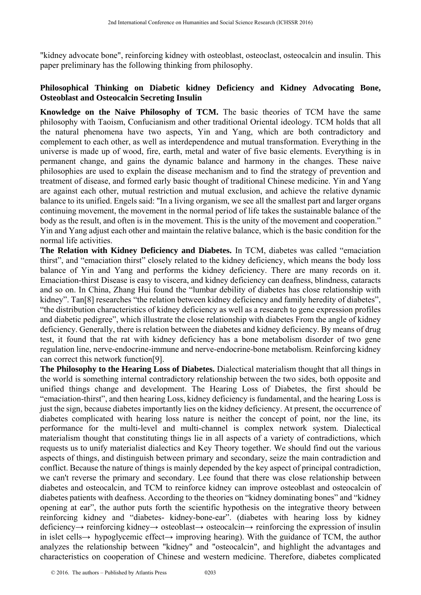"kidney advocate bone", reinforcing kidney with osteoblast, osteoclast, osteocalcin and insulin. This paper preliminary has the following thinking from philosophy.

## **Philosophical Thinking on Diabetic kidney Deficiency and Kidney Advocating Bone, Osteoblast and Osteocalcin Secreting Insulin**

**Knowledge on the Naive Philosophy of TCM.** The basic theories of TCM have the same philosophy with Taoism, Confucianism and other traditional Oriental ideology. TCM holds that all the natural phenomena have two aspects, Yin and Yang, which are both contradictory and complement to each other, as well as interdependence and mutual transformation. Everything in the universe is made up of wood, fire, earth, metal and water of five basic elements. Everything is in permanent change, and gains the dynamic balance and harmony in the changes. These naive philosophies are used to explain the disease mechanism and to find the strategy of prevention and treatment of disease, and formed early basic thought of traditional Chinese medicine. Yin and Yang are against each other, mutual restriction and mutual exclusion, and achieve the relative dynamic balance to its unified. Engels said: "In a living organism, we see all the smallest part and larger organs continuing movement, the movement in the normal period of life takes the sustainable balance of the body as the result, and often is in the movement. This is the unity of the movement and cooperation." Yin and Yang adjust each other and maintain the relative balance, which is the basic condition for the normal life activities.

**The Relation with Kidney Deficiency and Diabetes.** In TCM, diabetes was called "emaciation thirst", and "emaciation thirst" closely related to the kidney deficiency, which means the body loss balance of Yin and Yang and performs the kidney deficiency. There are many records on it. Emaciation-thirst Disease is easy to viscera, and kidney deficiency can deafness, blindness, cataracts and so on. In China, Zhang Hui found the "lumbar debility of diabetes has close relationship with kidney". Tan<sup>[8]</sup> researches "the relation between kidney deficiency and family heredity of diabetes", "the distribution characteristics of kidney deficiency as well as a research to gene expression profiles and diabetic pedigree", which illustrate the close relationship with diabetes From the angle of kidney deficiency. Generally, there is relation between the diabetes and kidney deficiency. By means of drug test, it found that the rat with kidney deficiency has a bone metabolism disorder of two gene regulation line, nerve-endocrine-immune and nerve-endocrine-bone metabolism. Reinforcing kidney can correct this network function[9].

**The Philosophy to the Hearing Loss of Diabetes.** Dialectical materialism thought that all things in the world is something internal contradictory relationship between the two sides, both opposite and unified things change and development. The Hearing Loss of Diabetes, the first should be "emaciation-thirst", and then hearing Loss, kidney deficiency is fundamental, and the hearing Loss is just the sign, because diabetes importantly lies on the kidney deficiency. At present, the occurrence of diabetes complicated with hearing loss nature is neither the concept of point, nor the line, its performance for the multi-level and multi-channel is complex network system. Dialectical materialism thought that constituting things lie in all aspects of a variety of contradictions, which requests us to unify materialist dialectics and Key Theory together. We should find out the various aspects of things, and distinguish between primary and secondary, seize the main contradiction and conflict. Because the nature of things is mainly depended by the key aspect of principal contradiction, we can't reverse the primary and secondary. Lee found that there was close relationship between diabetes and osteocalcin, and TCM to reinforce kidney can improve osteoblast and osteocalcin of diabetes patients with deafness. According to the theories on "kidney dominating bones" and "kidney opening at ear", the author puts forth the scientific hypothesis on the integrative theory between reinforcing kidney and "diabetes- kidney-bone-ear". (diabetes with hearing loss by kidney deficiency→ reinforcing kidney→ osteoblast→ osteocalcin→ reinforcing the expression of insulin in islet cells→ hypoglycemic effect→ improving hearing). With the guidance of TCM, the author analyzes the relationship between "kidney" and "osteocalcin", and highlight the advantages and characteristics on cooperation of Chinese and western medicine. Therefore, diabetes complicated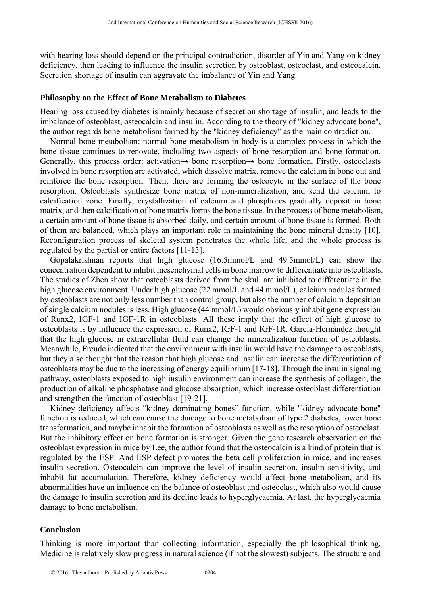with hearing loss should depend on the principal contradiction, disorder of Yin and Yang on kidney deficiency, then leading to influence the insulin secretion by osteoblast, osteoclast, and osteocalcin. Secretion shortage of insulin can aggravate the imbalance of Yin and Yang.

### **Philosophy on the Effect of Bone Metabolism to Diabetes**

Hearing loss caused by diabetes is mainly because of secretion shortage of insulin, and leads to the imbalance of osteoblast, osteocalcin and insulin. According to the theory of "kidney advocate bone", the author regards bone metabolism formed by the "kidney deficiency" as the main contradiction.

Normal bone metabolism: normal bone metabolism in body is a complex process in which the bone tissue continues to renovate, including two aspects of bone resorption and bone formation. Generally, this process order: activation→ bone resorption→ bone formation. Firstly, osteoclasts involved in bone resorption are activated, which dissolve matrix, remove the calcium in bone out and reinforce the bone resorption. Then, there are forming the osteocyte in the surface of the bone resorption. Osteoblasts synthesize bone matrix of non-mineralization, and send the calcium to calcification zone. Finally, crystallization of calcium and phosphores gradually deposit in bone matrix, and then calcification of bone matrix forms the bone tissue. In the process of bone metabolism, a certain amount of bone tissue is absorbed daily, and certain amount of bone tissue is formed. Both of them are balanced, which plays an important role in maintaining the bone mineral density [10]. Reconfiguration process of skeletal system penetrates the whole life, and the whole process is regulated by the partial or entire factors [11-13].

Gopalakrishnan reports that high glucose (16.5mmol/L and 49.5mmol/L) can show the concentration dependent to inhibit mesenchymal cells in bone marrow to differentiate into osteoblasts. The studies of Zhen show that osteoblasts derived from the skull are inhibited to differentiate in the high glucose environment. Under high glucose (22 mmol/L and 44 mmol/L), calcium nodules formed by osteoblasts are not only less number than control group, but also the number of calcium deposition of single calcium nodules is less. High glucose (44 mmol/L) would obviously inhabit gene expression of Runx2, IGF-1 and IGF-1R in osteoblasts. All these imply that the effect of high glucose to osteoblasts is by influence the expression of Runx2, IGF-1 and IGF-1R. García-Hernández thought that the high glucose in extracellular fluid can change the mineralization function of osteoblasts. Meanwhile, Freude indicated that the environment with insulin would have the damage to osteoblasts, but they also thought that the reason that high glucose and insulin can increase the differentiation of osteoblasts may be due to the increasing of energy equilibrium [17-18]. Through the insulin signaling pathway, osteoblasts exposed to high insulin environment can increase the synthesis of collagen, the production of alkaline phosphatase and glucose absorption, which increase osteoblast differentiation and strengthen the function of osteoblast [19-21].

Kidney deficiency affects "kidney dominating bones" function, while "kidney advocate bone" function is reduced, which can cause the damage to bone metabolism of type 2 diabetes, lower bone transformation, and maybe inhabit the formation of osteoblasts as well as the resorption of osteoclast. But the inhibitory effect on bone formation is stronger. Given the gene research observation on the osteoblast expression in mice by Lee, the author found that the osteocalcin is a kind of protein that is regulated by the ESP. And ESP defect promotes the beta cell proliferation in mice, and increases insulin secretion. Osteocalcin can improve the level of insulin secretion, insulin sensitivity, and inhabit fat accumulation. Therefore, kidney deficiency would affect bone metabolism, and its abnormalities have an influence on the balance of osteoblast and osteoclast, which also would cause the damage to insulin secretion and its decline leads to hyperglycaemia. At last, the hyperglycaemia damage to bone metabolism.

#### **Conclusion**

Thinking is more important than collecting information, especially the philosophical thinking. Medicine is relatively slow progress in natural science (if not the slowest) subjects. The structure and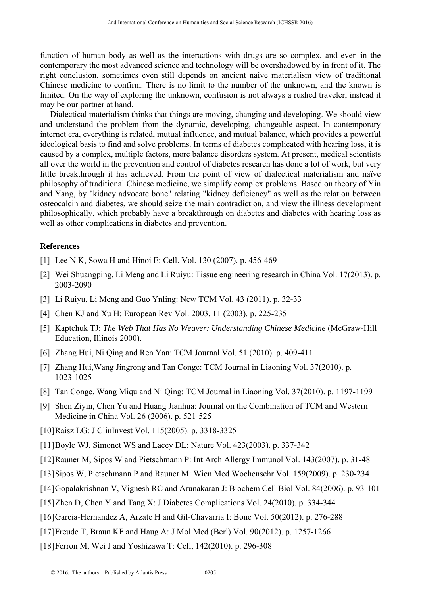function of human body as well as the interactions with drugs are so complex, and even in the contemporary the most advanced science and technology will be overshadowed by in front of it. The right conclusion, sometimes even still depends on ancient naive materialism view of traditional Chinese medicine to confirm. There is no limit to the number of the unknown, and the known is limited. On the way of exploring the unknown, confusion is not always a rushed traveler, instead it may be our partner at hand.

Dialectical materialism thinks that things are moving, changing and developing. We should view and understand the problem from the dynamic, developing, changeable aspect. In contemporary internet era, everything is related, mutual influence, and mutual balance, which provides a powerful ideological basis to find and solve problems. In terms of diabetes complicated with hearing loss, it is caused by a complex, multiple factors, more balance disorders system. At present, medical scientists all over the world in the prevention and control of diabetes research has done a lot of work, but very little breakthrough it has achieved. From the point of view of dialectical materialism and naïve philosophy of traditional Chinese medicine, we simplify complex problems. Based on theory of Yin and Yang, by "kidney advocate bone" relating "kidney deficiency" as well as the relation between osteocalcin and diabetes, we should seize the main contradiction, and view the illness development philosophically, which probably have a breakthrough on diabetes and diabetes with hearing loss as well as other complications in diabetes and prevention.

## **References**

- [1] Lee N K, Sowa H and Hinoi E: Cell. Vol. 130 (2007). p. 456-469
- [2] Wei Shuangping, Li Meng and Li Ruiyu: Tissue engineering research in China Vol. 17(2013). p. 2003-2090
- [3] Li Ruiyu, Li Meng and Guo Ynling: New TCM Vol. 43 (2011). p. 32-33
- [4] Chen KJ and Xu H: European Rev Vol. 2003, 11 (2003). p. 225-235
- [5] Kaptchuk TJ: *The Web That Has No Weaver: Understanding Chinese Medicine* (McGraw-Hill Education, Illinois 2000).
- [6] Zhang Hui, Ni Qing and Ren Yan: TCM Journal Vol. 51 (2010). p. 409-411
- [7] Zhang Hui,Wang Jingrong and Tan Conge: TCM Journal in Liaoning Vol. 37(2010). p. 1023-1025
- [8] Tan Conge, Wang Miqu and Ni Qing: TCM Journal in Liaoning Vol. 37(2010). p. 1197-1199
- [9] Shen Ziyin, Chen Yu and Huang Jianhua: Journal on the Combination of TCM and Western Medicine in China Vol. 26 (2006). p. 521-525
- [10] Raisz LG: J ClinInvest Vol. 115(2005). p. 3318-3325
- [11] Boyle WJ, Simonet WS and Lacey DL: Nature Vol. 423(2003). p. 337-342
- [12] Rauner M, Sipos W and Pietschmann P: Int Arch Allergy Immunol Vol. 143(2007). p. 31-48
- [13] Sipos W, Pietschmann P and Rauner M: Wien Med Wochenschr Vol. 159(2009). p. 230-234
- [14] Gopalakrishnan V, Vignesh RC and Arunakaran J: Biochem Cell Biol Vol. 84(2006). p. 93-101
- [15] Zhen D, Chen Y and Tang X: J Diabetes Complications Vol. 24(2010). p. 334-344
- [16] Garcia-Hernandez A, Arzate H and Gil-Chavarria I: Bone Vol. 50(2012). p. 276-288
- [17] Freude T, Braun KF and Haug A: J Mol Med (Berl) Vol. 90(2012). p. 1257-1266
- [18] Ferron M, Wei J and Yoshizawa T: Cell, 142(2010). p. 296-308